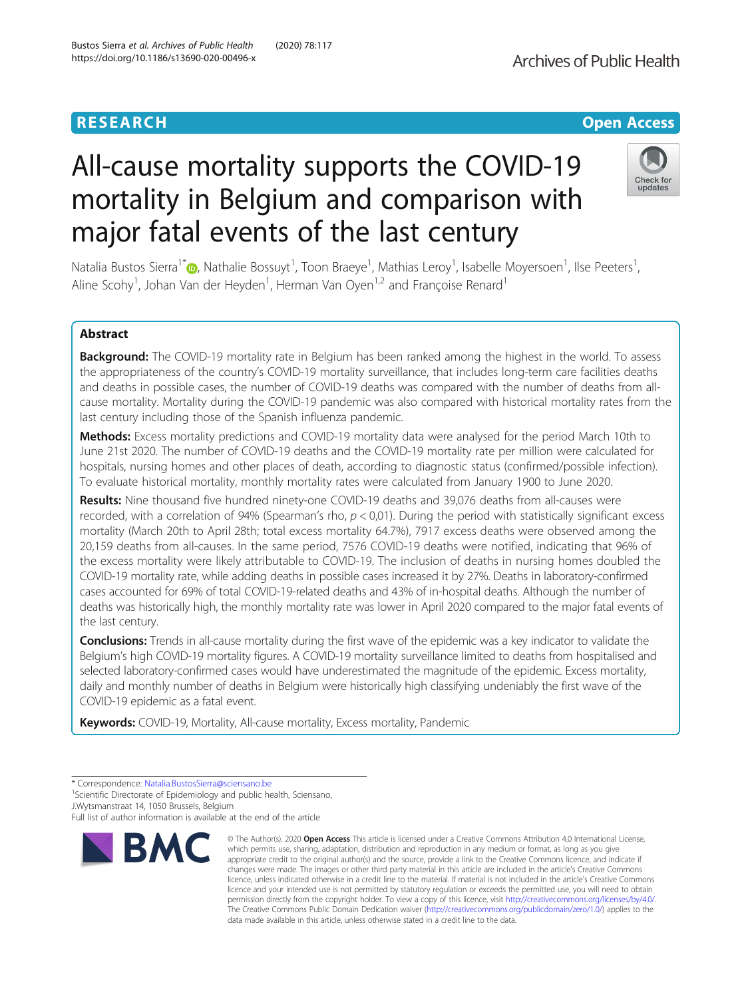# **RESEARCH CHE Open Access** All-cause mortality supports the COVID-19

major fatal events of the last century

mortality in Belgium and comparison with

**Archives of Public Health** 

## Check for undates

Natalia Bustos Sierra<sup>1\*</sup>®[,](http://orcid.org/0000-0003-3562-2937) Nathalie Bossuyt<sup>1</sup>, Toon Braeye<sup>1</sup>, Mathias Leroy<sup>1</sup>, Isabelle Moyersoen<sup>1</sup>, Ilse Peeters<sup>1</sup> , Aline Scohy<sup>1</sup>, Johan Van der Heyden<sup>1</sup>, Herman Van Oyen<sup>1,2</sup> and Françoise Renard<sup>1</sup>

## Abstract

Background: The COVID-19 mortality rate in Belgium has been ranked among the highest in the world. To assess the appropriateness of the country's COVID-19 mortality surveillance, that includes long-term care facilities deaths and deaths in possible cases, the number of COVID-19 deaths was compared with the number of deaths from allcause mortality. Mortality during the COVID-19 pandemic was also compared with historical mortality rates from the last century including those of the Spanish influenza pandemic.

Methods: Excess mortality predictions and COVID-19 mortality data were analysed for the period March 10th to June 21st 2020. The number of COVID-19 deaths and the COVID-19 mortality rate per million were calculated for hospitals, nursing homes and other places of death, according to diagnostic status (confirmed/possible infection). To evaluate historical mortality, monthly mortality rates were calculated from January 1900 to June 2020.

Results: Nine thousand five hundred ninety-one COVID-19 deaths and 39,076 deaths from all-causes were recorded, with a correlation of 94% (Spearman's rho,  $p < 0.01$ ). During the period with statistically significant excess mortality (March 20th to April 28th; total excess mortality 64.7%), 7917 excess deaths were observed among the 20,159 deaths from all-causes. In the same period, 7576 COVID-19 deaths were notified, indicating that 96% of the excess mortality were likely attributable to COVID-19. The inclusion of deaths in nursing homes doubled the COVID-19 mortality rate, while adding deaths in possible cases increased it by 27%. Deaths in laboratory-confirmed cases accounted for 69% of total COVID-19-related deaths and 43% of in-hospital deaths. Although the number of deaths was historically high, the monthly mortality rate was lower in April 2020 compared to the major fatal events of the last century.

**Conclusions:** Trends in all-cause mortality during the first wave of the epidemic was a key indicator to validate the Belgium's high COVID-19 mortality figures. A COVID-19 mortality surveillance limited to deaths from hospitalised and selected laboratory-confirmed cases would have underestimated the magnitude of the epidemic. Excess mortality, daily and monthly number of deaths in Belgium were historically high classifying undeniably the first wave of the COVID-19 epidemic as a fatal event.

Keywords: COVID-19, Mortality, All-cause mortality, Excess mortality, Pandemic

<sup>1</sup>Scientific Directorate of Epidemiology and public health, Sciensano,

J.Wytsmanstraat 14, 1050 Brussels, Belgium

Full list of author information is available at the end of the article



<sup>©</sup> The Author(s), 2020 **Open Access** This article is licensed under a Creative Commons Attribution 4.0 International License, which permits use, sharing, adaptation, distribution and reproduction in any medium or format, as long as you give appropriate credit to the original author(s) and the source, provide a link to the Creative Commons licence, and indicate if changes were made. The images or other third party material in this article are included in the article's Creative Commons licence, unless indicated otherwise in a credit line to the material. If material is not included in the article's Creative Commons licence and your intended use is not permitted by statutory regulation or exceeds the permitted use, you will need to obtain permission directly from the copyright holder. To view a copy of this licence, visit [http://creativecommons.org/licenses/by/4.0/.](http://creativecommons.org/licenses/by/4.0/) The Creative Commons Public Domain Dedication waiver [\(http://creativecommons.org/publicdomain/zero/1.0/](http://creativecommons.org/publicdomain/zero/1.0/)) applies to the data made available in this article, unless otherwise stated in a credit line to the data.

<sup>\*</sup> Correspondence: [Natalia.BustosSierra@sciensano.be](mailto:Natalia.BustosSierra@sciensano.be) <sup>1</sup>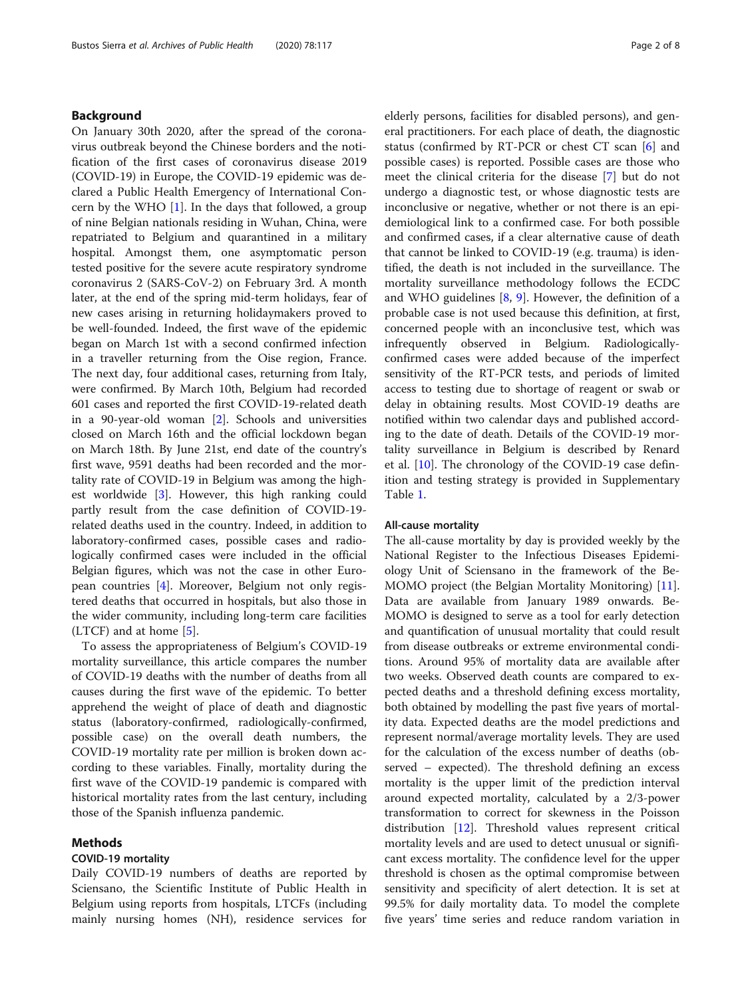## Background

On January 30th 2020, after the spread of the coronavirus outbreak beyond the Chinese borders and the notification of the first cases of coronavirus disease 2019 (COVID-19) in Europe, the COVID-19 epidemic was declared a Public Health Emergency of International Concern by the WHO  $[1]$  $[1]$ . In the days that followed, a group of nine Belgian nationals residing in Wuhan, China, were repatriated to Belgium and quarantined in a military hospital. Amongst them, one asymptomatic person tested positive for the severe acute respiratory syndrome coronavirus 2 (SARS-CoV-2) on February 3rd. A month later, at the end of the spring mid-term holidays, fear of new cases arising in returning holidaymakers proved to be well-founded. Indeed, the first wave of the epidemic began on March 1st with a second confirmed infection in a traveller returning from the Oise region, France. The next day, four additional cases, returning from Italy, were confirmed. By March 10th, Belgium had recorded 601 cases and reported the first COVID-19-related death in a 90-year-old woman [\[2](#page-7-0)]. Schools and universities closed on March 16th and the official lockdown began on March 18th. By June 21st, end date of the country's first wave, 9591 deaths had been recorded and the mortality rate of COVID-19 in Belgium was among the highest worldwide [[3](#page-7-0)]. However, this high ranking could partly result from the case definition of COVID-19 related deaths used in the country. Indeed, in addition to laboratory-confirmed cases, possible cases and radiologically confirmed cases were included in the official Belgian figures, which was not the case in other European countries [[4\]](#page-7-0). Moreover, Belgium not only registered deaths that occurred in hospitals, but also those in the wider community, including long-term care facilities  $(LTCF)$  and at home [\[5](#page-7-0)].

To assess the appropriateness of Belgium's COVID-19 mortality surveillance, this article compares the number of COVID-19 deaths with the number of deaths from all causes during the first wave of the epidemic. To better apprehend the weight of place of death and diagnostic status (laboratory-confirmed, radiologically-confirmed, possible case) on the overall death numbers, the COVID-19 mortality rate per million is broken down according to these variables. Finally, mortality during the first wave of the COVID-19 pandemic is compared with historical mortality rates from the last century, including those of the Spanish influenza pandemic.

#### Methods

## COVID-19 mortality

Daily COVID-19 numbers of deaths are reported by Sciensano, the Scientific Institute of Public Health in Belgium using reports from hospitals, LTCFs (including mainly nursing homes (NH), residence services for elderly persons, facilities for disabled persons), and general practitioners. For each place of death, the diagnostic status (confirmed by RT-PCR or chest CT scan [[6\]](#page-7-0) and possible cases) is reported. Possible cases are those who meet the clinical criteria for the disease [[7](#page-7-0)] but do not undergo a diagnostic test, or whose diagnostic tests are inconclusive or negative, whether or not there is an epidemiological link to a confirmed case. For both possible and confirmed cases, if a clear alternative cause of death that cannot be linked to COVID-19 (e.g. trauma) is identified, the death is not included in the surveillance. The mortality surveillance methodology follows the ECDC and WHO guidelines  $[8, 9]$  $[8, 9]$  $[8, 9]$  $[8, 9]$ . However, the definition of a probable case is not used because this definition, at first, concerned people with an inconclusive test, which was infrequently observed in Belgium. Radiologicallyconfirmed cases were added because of the imperfect sensitivity of the RT-PCR tests, and periods of limited access to testing due to shortage of reagent or swab or delay in obtaining results. Most COVID-19 deaths are notified within two calendar days and published according to the date of death. Details of the COVID-19 mortality surveillance in Belgium is described by Renard et al. [\[10](#page-7-0)]. The chronology of the COVID-19 case definition and testing strategy is provided in Supplementary Table [1.](#page-6-0)

#### All-cause mortality

The all-cause mortality by day is provided weekly by the National Register to the Infectious Diseases Epidemiology Unit of Sciensano in the framework of the Be-MOMO project (the Belgian Mortality Monitoring) [\[11](#page-7-0)]. Data are available from January 1989 onwards. Be-MOMO is designed to serve as a tool for early detection and quantification of unusual mortality that could result from disease outbreaks or extreme environmental conditions. Around 95% of mortality data are available after two weeks. Observed death counts are compared to expected deaths and a threshold defining excess mortality, both obtained by modelling the past five years of mortality data. Expected deaths are the model predictions and represent normal/average mortality levels. They are used for the calculation of the excess number of deaths (observed – expected). The threshold defining an excess mortality is the upper limit of the prediction interval around expected mortality, calculated by a 2/3-power transformation to correct for skewness in the Poisson distribution [[12](#page-7-0)]. Threshold values represent critical mortality levels and are used to detect unusual or significant excess mortality. The confidence level for the upper threshold is chosen as the optimal compromise between sensitivity and specificity of alert detection. It is set at 99.5% for daily mortality data. To model the complete five years' time series and reduce random variation in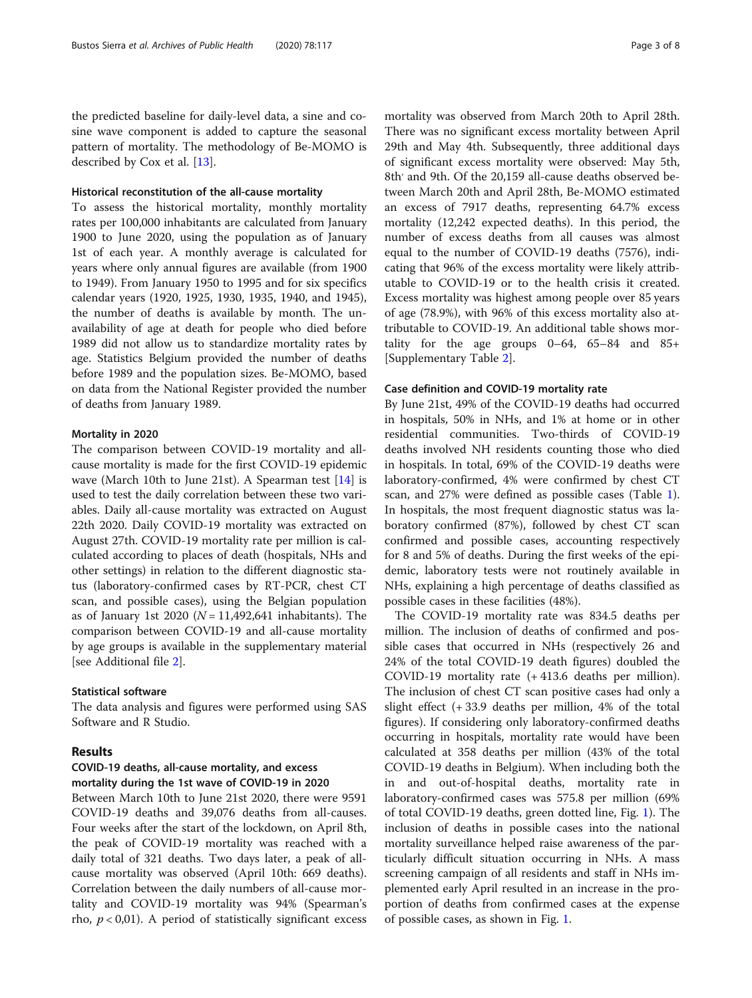the predicted baseline for daily-level data, a sine and cosine wave component is added to capture the seasonal pattern of mortality. The methodology of Be-MOMO is described by Cox et al. [\[13\]](#page-7-0).

#### Historical reconstitution of the all-cause mortality

To assess the historical mortality, monthly mortality rates per 100,000 inhabitants are calculated from January 1900 to June 2020, using the population as of January 1st of each year. A monthly average is calculated for years where only annual figures are available (from 1900 to 1949). From January 1950 to 1995 and for six specifics calendar years (1920, 1925, 1930, 1935, 1940, and 1945), the number of deaths is available by month. The unavailability of age at death for people who died before 1989 did not allow us to standardize mortality rates by age. Statistics Belgium provided the number of deaths before 1989 and the population sizes. Be-MOMO, based on data from the National Register provided the number of deaths from January 1989.

#### Mortality in 2020

The comparison between COVID-19 mortality and allcause mortality is made for the first COVID-19 epidemic wave (March 10th to June 21st). A Spearman test [[14\]](#page-7-0) is used to test the daily correlation between these two variables. Daily all-cause mortality was extracted on August 22th 2020. Daily COVID-19 mortality was extracted on August 27th. COVID-19 mortality rate per million is calculated according to places of death (hospitals, NHs and other settings) in relation to the different diagnostic status (laboratory-confirmed cases by RT-PCR, chest CT scan, and possible cases), using the Belgian population as of January 1st 2020 ( $N = 11,492,641$  inhabitants). The comparison between COVID-19 and all-cause mortality by age groups is available in the supplementary material [see Additional file [2\]](#page-6-0).

#### Statistical software

The data analysis and figures were performed using SAS Software and R Studio.

## Results

## COVID-19 deaths, all-cause mortality, and excess mortality during the 1st wave of COVID-19 in 2020

Between March 10th to June 21st 2020, there were 9591 COVID-19 deaths and 39,076 deaths from all-causes. Four weeks after the start of the lockdown, on April 8th, the peak of COVID-19 mortality was reached with a daily total of 321 deaths. Two days later, a peak of allcause mortality was observed (April 10th: 669 deaths). Correlation between the daily numbers of all-cause mortality and COVID-19 mortality was 94% (Spearman's rho,  $p < 0.01$ ). A period of statistically significant excess

mortality was observed from March 20th to April 28th. There was no significant excess mortality between April 29th and May 4th. Subsequently, three additional days of significant excess mortality were observed: May 5th, 8th' and 9th. Of the 20,159 all-cause deaths observed between March 20th and April 28th, Be-MOMO estimated an excess of 7917 deaths, representing 64.7% excess mortality (12,242 expected deaths). In this period, the number of excess deaths from all causes was almost equal to the number of COVID-19 deaths (7576), indicating that 96% of the excess mortality were likely attributable to COVID-19 or to the health crisis it created. Excess mortality was highest among people over 85 years of age (78.9%), with 96% of this excess mortality also attributable to COVID-19. An additional table shows mortality for the age groups 0–64, 65–84 and 85+ [Supplementary Table [2](#page-6-0)].

#### Case definition and COVID-19 mortality rate

By June 21st, 49% of the COVID-19 deaths had occurred in hospitals, 50% in NHs, and 1% at home or in other residential communities. Two-thirds of COVID-19 deaths involved NH residents counting those who died in hospitals. In total, 69% of the COVID-19 deaths were laboratory-confirmed, 4% were confirmed by chest CT scan, and 27% were defined as possible cases (Table [1](#page-3-0)). In hospitals, the most frequent diagnostic status was laboratory confirmed (87%), followed by chest CT scan confirmed and possible cases, accounting respectively for 8 and 5% of deaths. During the first weeks of the epidemic, laboratory tests were not routinely available in NHs, explaining a high percentage of deaths classified as possible cases in these facilities (48%).

The COVID-19 mortality rate was 834.5 deaths per million. The inclusion of deaths of confirmed and possible cases that occurred in NHs (respectively 26 and 24% of the total COVID-19 death figures) doubled the COVID-19 mortality rate (+ 413.6 deaths per million). The inclusion of chest CT scan positive cases had only a slight effect  $(+ 33.9$  deaths per million,  $4\%$  of the total figures). If considering only laboratory-confirmed deaths occurring in hospitals, mortality rate would have been calculated at 358 deaths per million (43% of the total COVID-19 deaths in Belgium). When including both the in and out-of-hospital deaths, mortality rate in laboratory-confirmed cases was 575.8 per million (69% of total COVID-19 deaths, green dotted line, Fig. [1\)](#page-3-0). The inclusion of deaths in possible cases into the national mortality surveillance helped raise awareness of the particularly difficult situation occurring in NHs. A mass screening campaign of all residents and staff in NHs implemented early April resulted in an increase in the proportion of deaths from confirmed cases at the expense of possible cases, as shown in Fig. [1.](#page-3-0)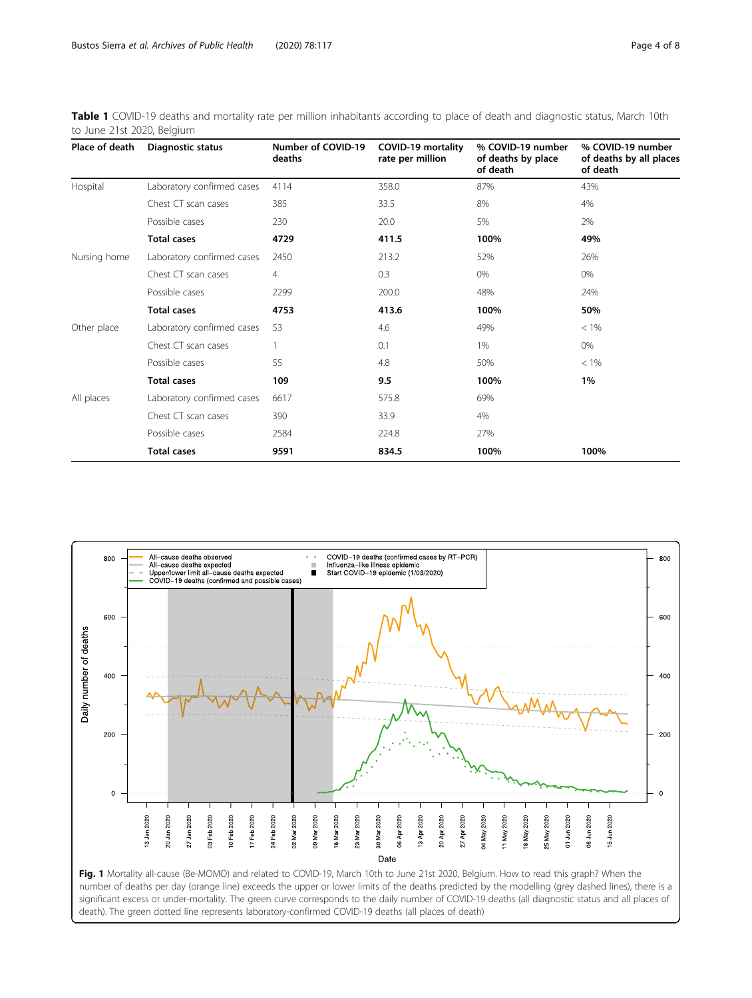<span id="page-3-0"></span>Table 1 COVID-19 deaths and mortality rate per million inhabitants according to place of death and diagnostic status, March 10th to June 21st 2020, Belgium

| Place of death | <b>Diagnostic status</b>   | Number of COVID-19<br>deaths | COVID-19 mortality<br>rate per million | % COVID-19 number<br>of deaths by place<br>of death | % COVID-19 number<br>of deaths by all places<br>of death |
|----------------|----------------------------|------------------------------|----------------------------------------|-----------------------------------------------------|----------------------------------------------------------|
| Hospital       | Laboratory confirmed cases | 4114                         | 358.0                                  | 87%                                                 | 43%                                                      |
|                | Chest CT scan cases        | 385                          | 33.5                                   | 8%                                                  | 4%                                                       |
|                | Possible cases             | 230                          | 20.0                                   | 5%                                                  | 2%                                                       |
|                | <b>Total cases</b>         | 4729                         | 411.5                                  | 100%                                                | 49%                                                      |
| Nursing home   | Laboratory confirmed cases | 2450                         | 213.2                                  | 52%                                                 | 26%                                                      |
|                | Chest CT scan cases        | 4                            | 0.3                                    | 0%                                                  | 0%                                                       |
|                | Possible cases             | 2299                         | 200.0                                  | 48%                                                 | 24%                                                      |
|                | <b>Total cases</b>         | 4753                         | 413.6                                  | 100%                                                | 50%                                                      |
| Other place    | Laboratory confirmed cases | 53                           | 4.6                                    | 49%                                                 | $< 1\%$                                                  |
|                | Chest CT scan cases        |                              | 0.1                                    | 1%                                                  | 0%                                                       |
|                | Possible cases             | 55                           | 4.8                                    | 50%                                                 | $< 1\%$                                                  |
|                | <b>Total cases</b>         | 109                          | 9.5                                    | 100%                                                | 1%                                                       |
| All places     | Laboratory confirmed cases | 6617                         | 575.8                                  | 69%                                                 |                                                          |
|                | Chest CT scan cases        | 390                          | 33.9                                   | 4%                                                  |                                                          |
|                | Possible cases             | 2584                         | 224.8                                  | 27%                                                 |                                                          |
|                | <b>Total cases</b>         | 9591                         | 834.5                                  | 100%                                                | 100%                                                     |

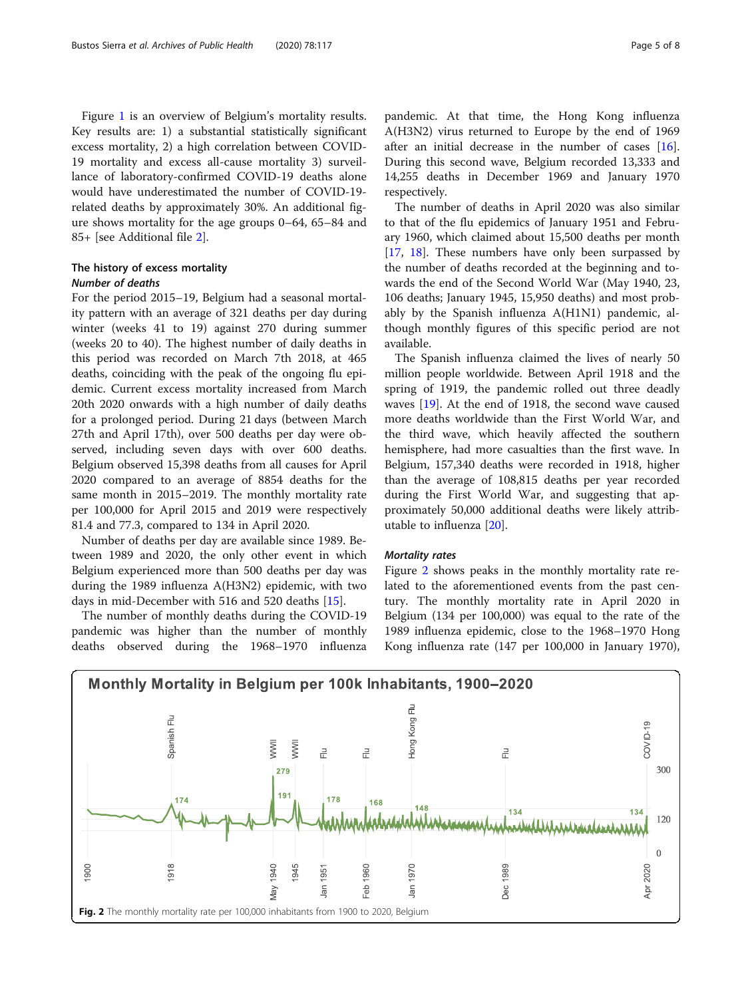<span id="page-4-0"></span>Figure [1](#page-3-0) is an overview of Belgium's mortality results. Key results are: 1) a substantial statistically significant excess mortality, 2) a high correlation between COVID-19 mortality and excess all-cause mortality 3) surveillance of laboratory-confirmed COVID-19 deaths alone would have underestimated the number of COVID-19 related deaths by approximately 30%. An additional figure shows mortality for the age groups 0–64, 65–84 and 85+ [see Additional file [2](#page-6-0)].

## The history of excess mortality Number of deaths

For the period 2015–19, Belgium had a seasonal mortality pattern with an average of 321 deaths per day during winter (weeks 41 to 19) against 270 during summer (weeks 20 to 40). The highest number of daily deaths in this period was recorded on March 7th 2018, at 465 deaths, coinciding with the peak of the ongoing flu epidemic. Current excess mortality increased from March 20th 2020 onwards with a high number of daily deaths for a prolonged period. During 21 days (between March 27th and April 17th), over 500 deaths per day were observed, including seven days with over 600 deaths. Belgium observed 15,398 deaths from all causes for April 2020 compared to an average of 8854 deaths for the same month in 2015–2019. The monthly mortality rate per 100,000 for April 2015 and 2019 were respectively 81.4 and 77.3, compared to 134 in April 2020.

Number of deaths per day are available since 1989. Between 1989 and 2020, the only other event in which Belgium experienced more than 500 deaths per day was during the 1989 influenza A(H3N2) epidemic, with two days in mid-December with 516 and 520 deaths [\[15\]](#page-7-0).

The number of monthly deaths during the COVID-19 pandemic was higher than the number of monthly deaths observed during the 1968–1970 influenza

pandemic. At that time, the Hong Kong influenza A(H3N2) virus returned to Europe by the end of 1969 after an initial decrease in the number of cases [\[16](#page-7-0)]. During this second wave, Belgium recorded 13,333 and 14,255 deaths in December 1969 and January 1970 respectively.

The number of deaths in April 2020 was also similar to that of the flu epidemics of January 1951 and February 1960, which claimed about 15,500 deaths per month [[17,](#page-7-0) [18\]](#page-7-0). These numbers have only been surpassed by the number of deaths recorded at the beginning and towards the end of the Second World War (May 1940, 23, 106 deaths; January 1945, 15,950 deaths) and most probably by the Spanish influenza A(H1N1) pandemic, although monthly figures of this specific period are not available.

The Spanish influenza claimed the lives of nearly 50 million people worldwide. Between April 1918 and the spring of 1919, the pandemic rolled out three deadly waves [\[19](#page-7-0)]. At the end of 1918, the second wave caused more deaths worldwide than the First World War, and the third wave, which heavily affected the southern hemisphere, had more casualties than the first wave. In Belgium, 157,340 deaths were recorded in 1918, higher than the average of 108,815 deaths per year recorded during the First World War, and suggesting that approximately 50,000 additional deaths were likely attributable to influenza [\[20\]](#page-7-0).

## Mortality rates

Figure 2 shows peaks in the monthly mortality rate related to the aforementioned events from the past century. The monthly mortality rate in April 2020 in Belgium (134 per 100,000) was equal to the rate of the 1989 influenza epidemic, close to the 1968–1970 Hong Kong influenza rate (147 per 100,000 in January 1970),

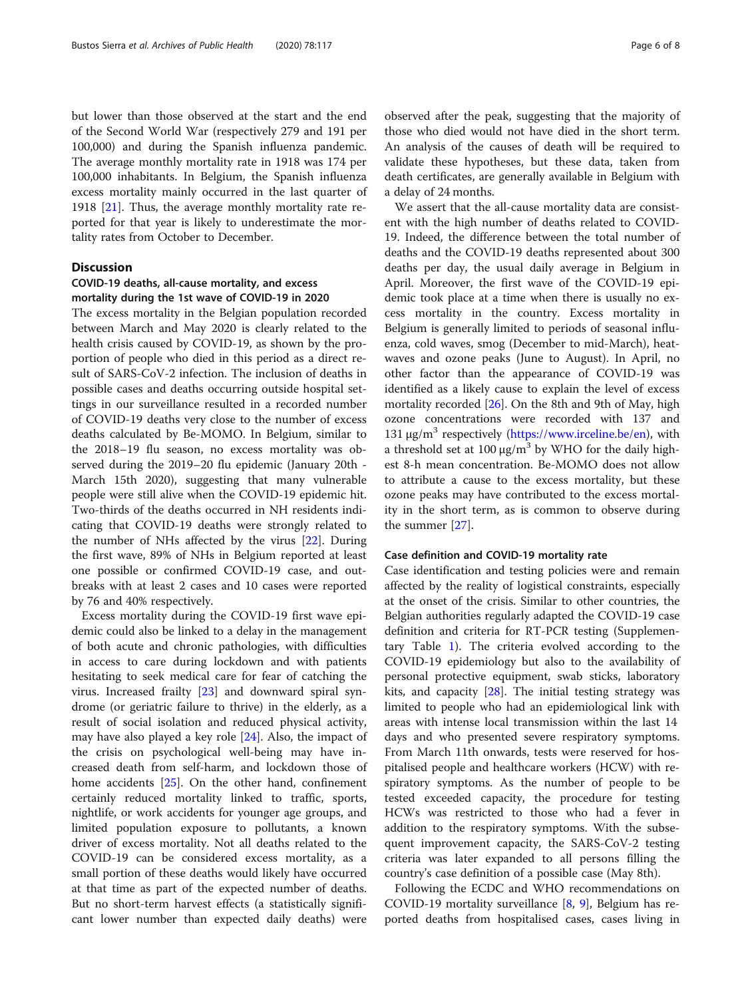but lower than those observed at the start and the end of the Second World War (respectively 279 and 191 per 100,000) and during the Spanish influenza pandemic. The average monthly mortality rate in 1918 was 174 per 100,000 inhabitants. In Belgium, the Spanish influenza excess mortality mainly occurred in the last quarter of 1918  $[21]$  $[21]$ . Thus, the average monthly mortality rate reported for that year is likely to underestimate the mortality rates from October to December.

## **Discussion**

## COVID-19 deaths, all-cause mortality, and excess mortality during the 1st wave of COVID-19 in 2020

The excess mortality in the Belgian population recorded between March and May 2020 is clearly related to the health crisis caused by COVID-19, as shown by the proportion of people who died in this period as a direct result of SARS-CoV-2 infection. The inclusion of deaths in possible cases and deaths occurring outside hospital settings in our surveillance resulted in a recorded number of COVID-19 deaths very close to the number of excess deaths calculated by Be-MOMO. In Belgium, similar to the 2018–19 flu season, no excess mortality was observed during the 2019–20 flu epidemic (January 20th - March 15th 2020), suggesting that many vulnerable people were still alive when the COVID-19 epidemic hit. Two-thirds of the deaths occurred in NH residents indicating that COVID-19 deaths were strongly related to the number of NHs affected by the virus [\[22\]](#page-7-0). During the first wave, 89% of NHs in Belgium reported at least one possible or confirmed COVID-19 case, and outbreaks with at least 2 cases and 10 cases were reported by 76 and 40% respectively.

Excess mortality during the COVID-19 first wave epidemic could also be linked to a delay in the management of both acute and chronic pathologies, with difficulties in access to care during lockdown and with patients hesitating to seek medical care for fear of catching the virus. Increased frailty [[23\]](#page-7-0) and downward spiral syndrome (or geriatric failure to thrive) in the elderly, as a result of social isolation and reduced physical activity, may have also played a key role [\[24](#page-7-0)]. Also, the impact of the crisis on psychological well-being may have increased death from self-harm, and lockdown those of home accidents [\[25\]](#page-7-0). On the other hand, confinement certainly reduced mortality linked to traffic, sports, nightlife, or work accidents for younger age groups, and limited population exposure to pollutants, a known driver of excess mortality. Not all deaths related to the COVID-19 can be considered excess mortality, as a small portion of these deaths would likely have occurred at that time as part of the expected number of deaths. But no short-term harvest effects (a statistically significant lower number than expected daily deaths) were

observed after the peak, suggesting that the majority of those who died would not have died in the short term. An analysis of the causes of death will be required to validate these hypotheses, but these data, taken from death certificates, are generally available in Belgium with a delay of 24 months.

We assert that the all-cause mortality data are consistent with the high number of deaths related to COVID-19. Indeed, the difference between the total number of deaths and the COVID-19 deaths represented about 300 deaths per day, the usual daily average in Belgium in April. Moreover, the first wave of the COVID-19 epidemic took place at a time when there is usually no excess mortality in the country. Excess mortality in Belgium is generally limited to periods of seasonal influenza, cold waves, smog (December to mid-March), heatwaves and ozone peaks (June to August). In April, no other factor than the appearance of COVID-19 was identified as a likely cause to explain the level of excess mortality recorded [[26\]](#page-7-0). On the 8th and 9th of May, high ozone concentrations were recorded with 137 and 131 μg/m<sup>3</sup> respectively [\(https://www.irceline.be/en\)](https://www.irceline.be/en), with a threshold set at 100  $\mu$ g/m<sup>3</sup> by WHO for the daily highest 8-h mean concentration. Be-MOMO does not allow to attribute a cause to the excess mortality, but these ozone peaks may have contributed to the excess mortality in the short term, as is common to observe during the summer [\[27](#page-7-0)].

#### Case definition and COVID-19 mortality rate

Case identification and testing policies were and remain affected by the reality of logistical constraints, especially at the onset of the crisis. Similar to other countries, the Belgian authorities regularly adapted the COVID-19 case definition and criteria for RT-PCR testing (Supplementary Table [1](#page-6-0)). The criteria evolved according to the COVID-19 epidemiology but also to the availability of personal protective equipment, swab sticks, laboratory kits, and capacity  $[28]$  $[28]$  $[28]$ . The initial testing strategy was limited to people who had an epidemiological link with areas with intense local transmission within the last 14 days and who presented severe respiratory symptoms. From March 11th onwards, tests were reserved for hospitalised people and healthcare workers (HCW) with respiratory symptoms. As the number of people to be tested exceeded capacity, the procedure for testing HCWs was restricted to those who had a fever in addition to the respiratory symptoms. With the subsequent improvement capacity, the SARS-CoV-2 testing criteria was later expanded to all persons filling the country's case definition of a possible case (May 8th).

Following the ECDC and WHO recommendations on COVID-19 mortality surveillance  $[8, 9]$  $[8, 9]$  $[8, 9]$ , Belgium has reported deaths from hospitalised cases, cases living in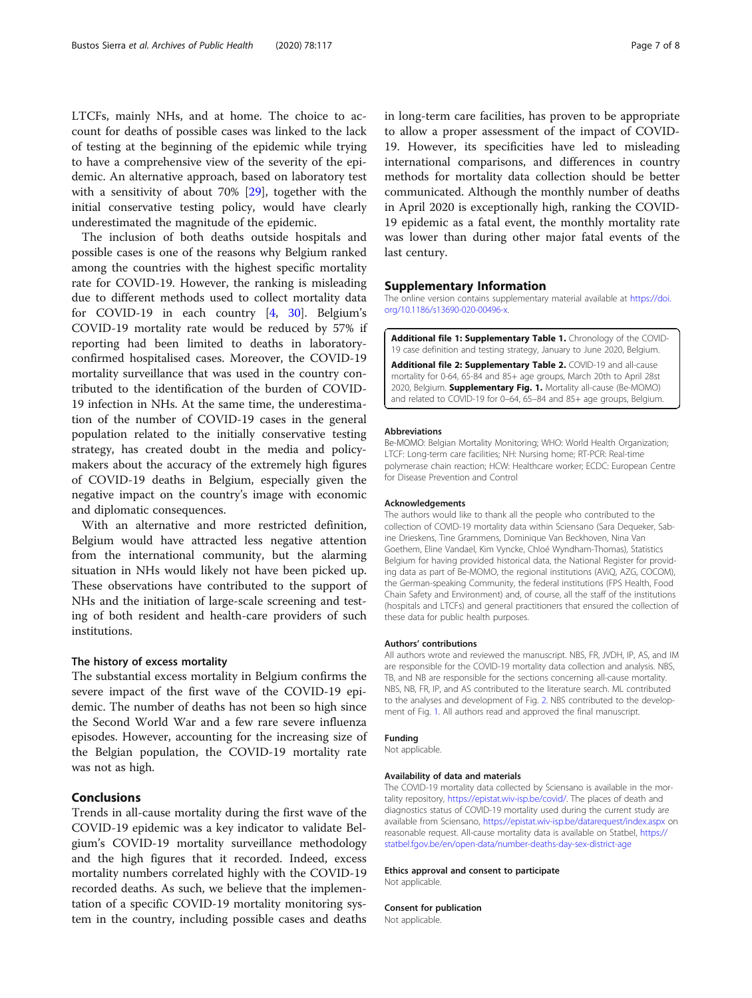<span id="page-6-0"></span>LTCFs, mainly NHs, and at home. The choice to account for deaths of possible cases was linked to the lack of testing at the beginning of the epidemic while trying to have a comprehensive view of the severity of the epidemic. An alternative approach, based on laboratory test with a sensitivity of about 70% [\[29\]](#page-7-0), together with the initial conservative testing policy, would have clearly underestimated the magnitude of the epidemic.

The inclusion of both deaths outside hospitals and possible cases is one of the reasons why Belgium ranked among the countries with the highest specific mortality rate for COVID-19. However, the ranking is misleading due to different methods used to collect mortality data for COVID-19 in each country [\[4](#page-7-0), [30](#page-7-0)]. Belgium's COVID-19 mortality rate would be reduced by 57% if reporting had been limited to deaths in laboratoryconfirmed hospitalised cases. Moreover, the COVID-19 mortality surveillance that was used in the country contributed to the identification of the burden of COVID-19 infection in NHs. At the same time, the underestimation of the number of COVID-19 cases in the general population related to the initially conservative testing strategy, has created doubt in the media and policymakers about the accuracy of the extremely high figures of COVID-19 deaths in Belgium, especially given the negative impact on the country's image with economic and diplomatic consequences.

With an alternative and more restricted definition, Belgium would have attracted less negative attention from the international community, but the alarming situation in NHs would likely not have been picked up. These observations have contributed to the support of NHs and the initiation of large-scale screening and testing of both resident and health-care providers of such institutions.

#### The history of excess mortality

The substantial excess mortality in Belgium confirms the severe impact of the first wave of the COVID-19 epidemic. The number of deaths has not been so high since the Second World War and a few rare severe influenza episodes. However, accounting for the increasing size of the Belgian population, the COVID-19 mortality rate was not as high.

## Conclusions

Trends in all-cause mortality during the first wave of the COVID-19 epidemic was a key indicator to validate Belgium's COVID-19 mortality surveillance methodology and the high figures that it recorded. Indeed, excess mortality numbers correlated highly with the COVID-19 recorded deaths. As such, we believe that the implementation of a specific COVID-19 mortality monitoring system in the country, including possible cases and deaths

in long-term care facilities, has proven to be appropriate to allow a proper assessment of the impact of COVID-19. However, its specificities have led to misleading international comparisons, and differences in country methods for mortality data collection should be better communicated. Although the monthly number of deaths in April 2020 is exceptionally high, ranking the COVID-19 epidemic as a fatal event, the monthly mortality rate was lower than during other major fatal events of the last century.

#### Supplementary Information

The online version contains supplementary material available at [https://doi.](https://doi.org/10.1186/s13690-020-00496-x) [org/10.1186/s13690-020-00496-x](https://doi.org/10.1186/s13690-020-00496-x).

Additional file 1: Supplementary Table 1. Chronology of the COVID-19 case definition and testing strategy, January to June 2020, Belgium.

Additional file 2: Supplementary Table 2. COVID-19 and all-cause mortality for 0-64, 65-84 and 85+ age groups, March 20th to April 28st 2020, Belgium. Supplementary Fig. 1. Mortality all-cause (Be-MOMO) and related to COVID-19 for 0–64, 65–84 and 85+ age groups, Belgium.

#### Abbreviations

Be-MOMO: Belgian Mortality Monitoring; WHO: World Health Organization; LTCF: Long-term care facilities; NH: Nursing home; RT-PCR: Real-time polymerase chain reaction; HCW: Healthcare worker; ECDC: European Centre for Disease Prevention and Control

#### Acknowledgements

The authors would like to thank all the people who contributed to the collection of COVID-19 mortality data within Sciensano (Sara Dequeker, Sabine Drieskens, Tine Grammens, Dominique Van Beckhoven, Nina Van Goethem, Eline Vandael, Kim Vyncke, Chloé Wyndham-Thomas), Statistics Belgium for having provided historical data, the National Register for providing data as part of Be-MOMO, the regional institutions (AViQ, AZG, COCOM), the German-speaking Community, the federal institutions (FPS Health, Food Chain Safety and Environment) and, of course, all the staff of the institutions (hospitals and LTCFs) and general practitioners that ensured the collection of these data for public health purposes.

#### Authors' contributions

All authors wrote and reviewed the manuscript. NBS, FR, JVDH, IP, AS, and IM are responsible for the COVID-19 mortality data collection and analysis. NBS, TB, and NB are responsible for the sections concerning all-cause mortality. NBS, NB, FR, IP, and AS contributed to the literature search. ML contributed to the analyses and development of Fig. [2.](#page-4-0) NBS contributed to the development of Fig. [1](#page-3-0). All authors read and approved the final manuscript.

### Funding

Not applicable.

#### Availability of data and materials

The COVID-19 mortality data collected by Sciensano is available in the mortality repository, [https://epistat.wiv-isp.be/covid/.](https://epistat.wiv-isp.be/covid/) The places of death and diagnostics status of COVID-19 mortality used during the current study are available from Sciensano, <https://epistat.wiv-isp.be/datarequest/index.aspx> on reasonable request. All-cause mortality data is available on Statbel, [https://](https://statbel.fgov.be/en/open-data/number-deaths-day-sex-district-age) [statbel.fgov.be/en/open-data/number-deaths-day-sex-district-age](https://statbel.fgov.be/en/open-data/number-deaths-day-sex-district-age)

#### Ethics approval and consent to participate

Not applicable.

#### Consent for publication

Not applicable.